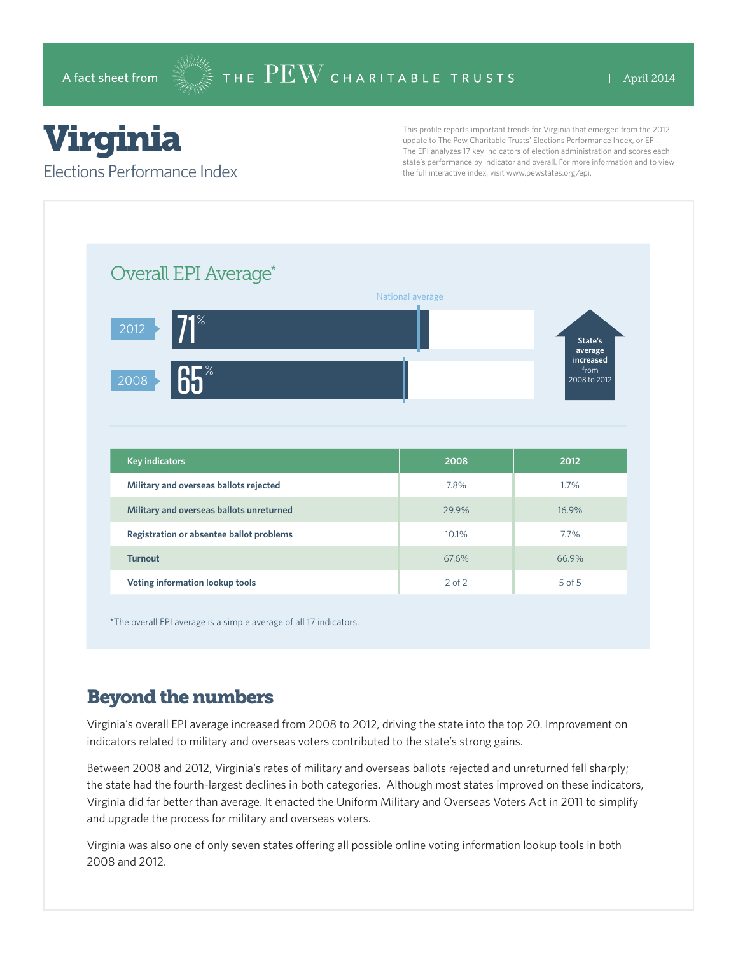# Virginia

#### Elections Performance Index

This profile reports important trends for Virginia that emerged from the 2012 update to The Pew Charitable Trusts' Elections Performance Index, or EPI. The EPI analyzes 17 key indicators of election administration and scores each state's performance by indicator and overall. For more information and to view the full interactive index, visit www.pewstates.org/epi.

| Overall EPI Average*                     |                  |                                   |
|------------------------------------------|------------------|-----------------------------------|
|                                          | National average |                                   |
| $\Psi^*$<br>2012                         |                  | State's<br>average                |
| 65 <sup>°</sup><br>2008                  |                  | increased<br>from<br>2008 to 2012 |
|                                          |                  |                                   |
|                                          |                  |                                   |
|                                          |                  |                                   |
| <b>Key indicators</b>                    | 2008             | 2012                              |
| Military and overseas ballots rejected   | 7.8%             | 1.7%                              |
| Military and overseas ballots unreturned | 29.9%            | 16.9%                             |
| Registration or absentee ballot problems | 10.1%            | 7.7%                              |
| <b>Turnout</b>                           | 67.6%            | 66.9%                             |

\*The overall EPI average is a simple average of all 17 indicators.

## Beyond the numbers

Virginia's overall EPI average increased from 2008 to 2012, driving the state into the top 20. Improvement on indicators related to military and overseas voters contributed to the state's strong gains.

Between 2008 and 2012, Virginia's rates of military and overseas ballots rejected and unreturned fell sharply; the state had the fourth-largest declines in both categories. Although most states improved on these indicators, Virginia did far better than average. It enacted the Uniform Military and Overseas Voters Act in 2011 to simplify and upgrade the process for military and overseas voters.

Virginia was also one of only seven states offering all possible online voting information lookup tools in both 2008 and 2012.